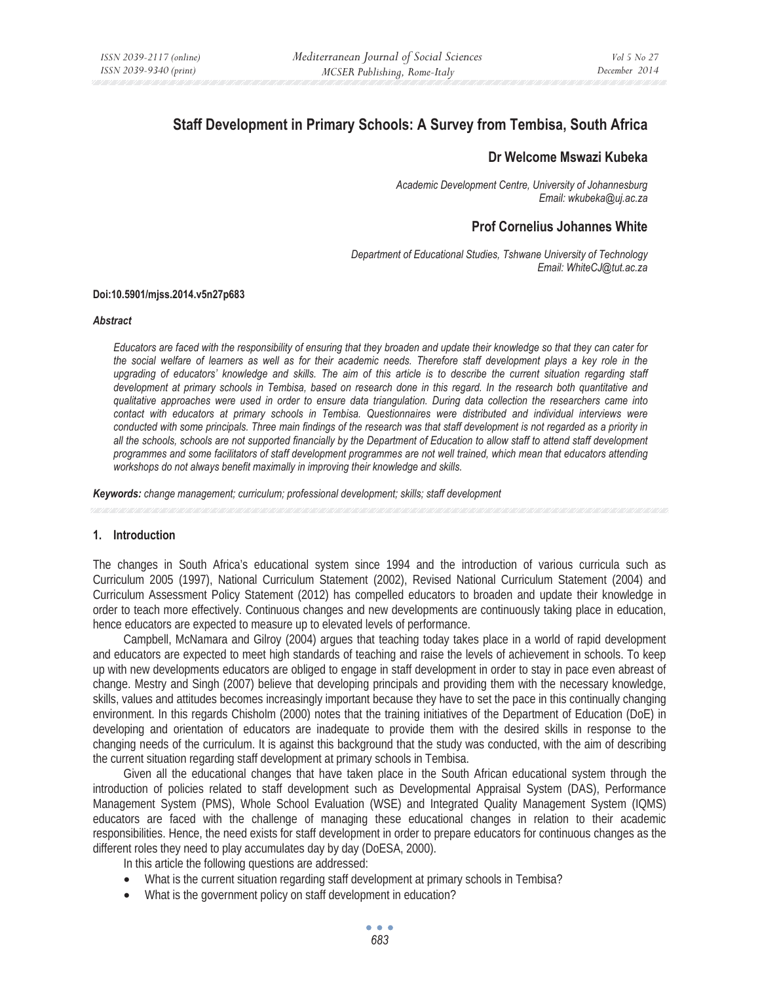# **Staff Development in Primary Schools: A Survey from Tembisa, South Africa**

# **Dr Welcome Mswazi Kubeka**

*Academic Development Centre, University of Johannesburg Email: wkubeka@uj.ac.za* 

# **Prof Cornelius Johannes White**

*Department of Educational Studies, Tshwane University of Technology Email: WhiteCJ@tut.ac.za* 

#### **Doi:10.5901/mjss.2014.v5n27p683**

#### *Abstract*

*Educators are faced with the responsibility of ensuring that they broaden and update their knowledge so that they can cater for the social welfare of learners as well as for their academic needs. Therefore staff development plays a key role in the*  upgrading of educators' knowledge and skills. The aim of this article is to describe the current situation regarding staff development at primary schools in Tembisa, based on research done in this regard. In the research both quantitative and *qualitative approaches were used in order to ensure data triangulation. During data collection the researchers came into contact with educators at primary schools in Tembisa. Questionnaires were distributed and individual interviews were conducted with some principals. Three main findings of the research was that staff development is not regarded as a priority in all the schools, schools are not supported financially by the Department of Education to allow staff to attend staff development programmes and some facilitators of staff development programmes are not well trained, which mean that educators attending workshops do not always benefit maximally in improving their knowledge and skills.* 

*Keywords: change management; curriculum; professional development; skills; staff development* 

# **1. Introduction**

The changes in South Africa's educational system since 1994 and the introduction of various curricula such as Curriculum 2005 (1997), National Curriculum Statement (2002), Revised National Curriculum Statement (2004) and Curriculum Assessment Policy Statement (2012) has compelled educators to broaden and update their knowledge in order to teach more effectively. Continuous changes and new developments are continuously taking place in education, hence educators are expected to measure up to elevated levels of performance.

Campbell, McNamara and Gilroy (2004) argues that teaching today takes place in a world of rapid development and educators are expected to meet high standards of teaching and raise the levels of achievement in schools. To keep up with new developments educators are obliged to engage in staff development in order to stay in pace even abreast of change. Mestry and Singh (2007) believe that developing principals and providing them with the necessary knowledge, skills, values and attitudes becomes increasingly important because they have to set the pace in this continually changing environment. In this regards Chisholm (2000) notes that the training initiatives of the Department of Education (DoE) in developing and orientation of educators are inadequate to provide them with the desired skills in response to the changing needs of the curriculum. It is against this background that the study was conducted, with the aim of describing the current situation regarding staff development at primary schools in Tembisa.

Given all the educational changes that have taken place in the South African educational system through the introduction of policies related to staff development such as Developmental Appraisal System (DAS), Performance Management System (PMS), Whole School Evaluation (WSE) and Integrated Quality Management System (IQMS) educators are faced with the challenge of managing these educational changes in relation to their academic responsibilities. Hence, the need exists for staff development in order to prepare educators for continuous changes as the different roles they need to play accumulates day by day (DoESA, 2000).

In this article the following questions are addressed:

- What is the current situation regarding staff development at primary schools in Tembisa?
- What is the government policy on staff development in education?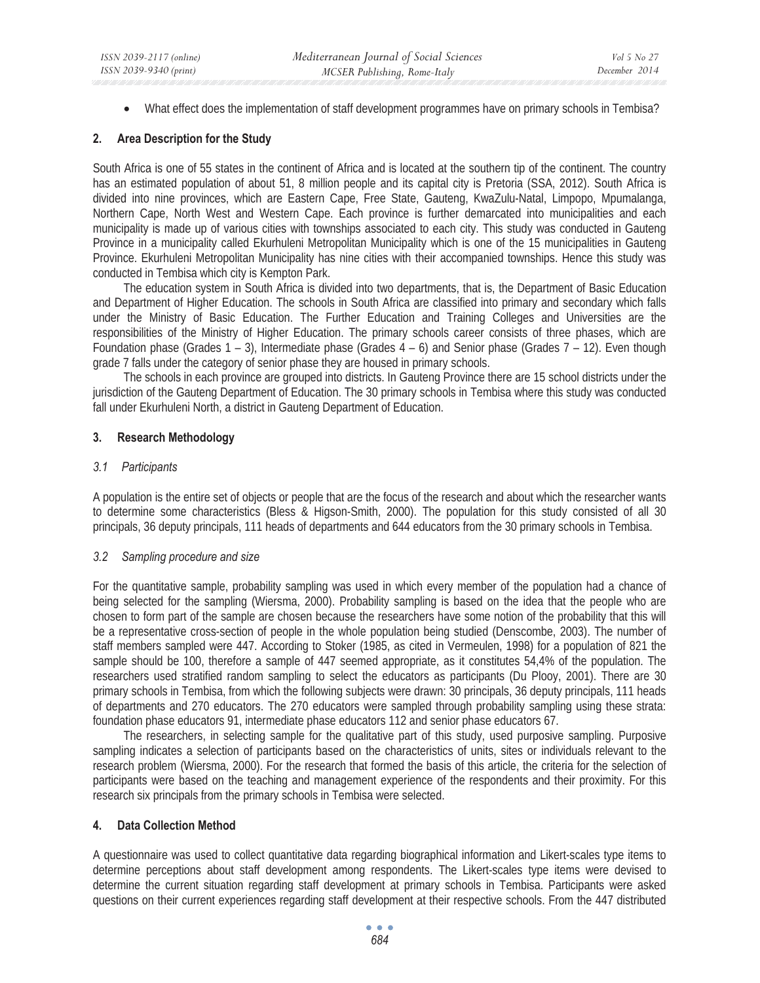• What effect does the implementation of staff development programmes have on primary schools in Tembisa?

# **2. Area Description for the Study**

South Africa is one of 55 states in the continent of Africa and is located at the southern tip of the continent. The country has an estimated population of about 51, 8 million people and its capital city is Pretoria (SSA, 2012). South Africa is divided into nine provinces, which are Eastern Cape, Free State, Gauteng, KwaZulu-Natal, Limpopo, Mpumalanga, Northern Cape, North West and Western Cape. Each province is further demarcated into municipalities and each municipality is made up of various cities with townships associated to each city. This study was conducted in Gauteng Province in a municipality called Ekurhuleni Metropolitan Municipality which is one of the 15 municipalities in Gauteng Province. Ekurhuleni Metropolitan Municipality has nine cities with their accompanied townships. Hence this study was conducted in Tembisa which city is Kempton Park.

The education system in South Africa is divided into two departments, that is, the Department of Basic Education and Department of Higher Education. The schools in South Africa are classified into primary and secondary which falls under the Ministry of Basic Education. The Further Education and Training Colleges and Universities are the responsibilities of the Ministry of Higher Education. The primary schools career consists of three phases, which are Foundation phase (Grades  $1 - 3$ ), Intermediate phase (Grades  $4 - 6$ ) and Senior phase (Grades  $7 - 12$ ). Even though grade 7 falls under the category of senior phase they are housed in primary schools.

The schools in each province are grouped into districts. In Gauteng Province there are 15 school districts under the jurisdiction of the Gauteng Department of Education. The 30 primary schools in Tembisa where this study was conducted fall under Ekurhuleni North, a district in Gauteng Department of Education.

# **3. Research Methodology**

# *3.1 Participants*

A population is the entire set of objects or people that are the focus of the research and about which the researcher wants to determine some characteristics (Bless & Higson-Smith, 2000). The population for this study consisted of all 30 principals, 36 deputy principals, 111 heads of departments and 644 educators from the 30 primary schools in Tembisa.

# *3.2 Sampling procedure and size*

For the quantitative sample, probability sampling was used in which every member of the population had a chance of being selected for the sampling (Wiersma, 2000). Probability sampling is based on the idea that the people who are chosen to form part of the sample are chosen because the researchers have some notion of the probability that this will be a representative cross-section of people in the whole population being studied (Denscombe, 2003). The number of staff members sampled were 447. According to Stoker (1985, as cited in Vermeulen, 1998) for a population of 821 the sample should be 100, therefore a sample of 447 seemed appropriate, as it constitutes 54,4% of the population. The researchers used stratified random sampling to select the educators as participants (Du Plooy, 2001). There are 30 primary schools in Tembisa, from which the following subjects were drawn: 30 principals, 36 deputy principals, 111 heads of departments and 270 educators. The 270 educators were sampled through probability sampling using these strata: foundation phase educators 91, intermediate phase educators 112 and senior phase educators 67.

The researchers, in selecting sample for the qualitative part of this study, used purposive sampling. Purposive sampling indicates a selection of participants based on the characteristics of units, sites or individuals relevant to the research problem (Wiersma, 2000). For the research that formed the basis of this article, the criteria for the selection of participants were based on the teaching and management experience of the respondents and their proximity. For this research six principals from the primary schools in Tembisa were selected.

# **4. Data Collection Method**

A questionnaire was used to collect quantitative data regarding biographical information and Likert-scales type items to determine perceptions about staff development among respondents. The Likert-scales type items were devised to determine the current situation regarding staff development at primary schools in Tembisa. Participants were asked questions on their current experiences regarding staff development at their respective schools. From the 447 distributed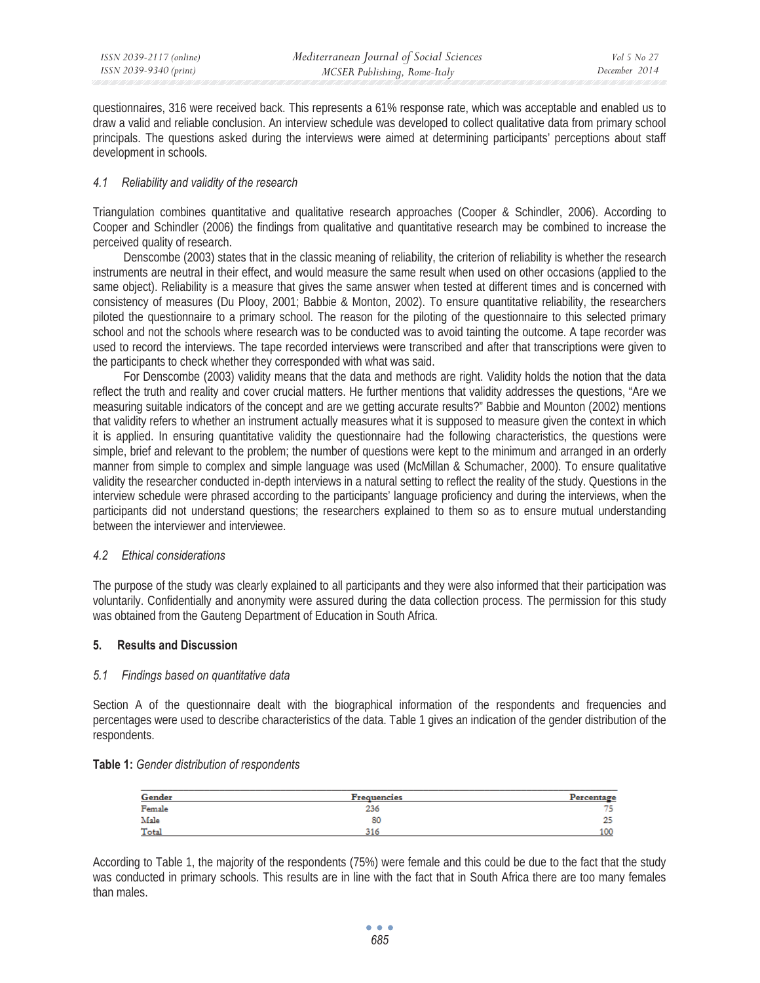questionnaires, 316 were received back. This represents a 61% response rate, which was acceptable and enabled us to draw a valid and reliable conclusion. An interview schedule was developed to collect qualitative data from primary school principals. The questions asked during the interviews were aimed at determining participants' perceptions about staff development in schools.

# *4.1 Reliability and validity of the research*

Triangulation combines quantitative and qualitative research approaches (Cooper & Schindler, 2006). According to Cooper and Schindler (2006) the findings from qualitative and quantitative research may be combined to increase the perceived quality of research.

Denscombe (2003) states that in the classic meaning of reliability, the criterion of reliability is whether the research instruments are neutral in their effect, and would measure the same result when used on other occasions (applied to the same object). Reliability is a measure that gives the same answer when tested at different times and is concerned with consistency of measures (Du Plooy, 2001; Babbie & Monton, 2002). To ensure quantitative reliability, the researchers piloted the questionnaire to a primary school. The reason for the piloting of the questionnaire to this selected primary school and not the schools where research was to be conducted was to avoid tainting the outcome. A tape recorder was used to record the interviews. The tape recorded interviews were transcribed and after that transcriptions were given to the participants to check whether they corresponded with what was said.

For Denscombe (2003) validity means that the data and methods are right. Validity holds the notion that the data reflect the truth and reality and cover crucial matters. He further mentions that validity addresses the questions, "Are we measuring suitable indicators of the concept and are we getting accurate results?" Babbie and Mounton (2002) mentions that validity refers to whether an instrument actually measures what it is supposed to measure given the context in which it is applied. In ensuring quantitative validity the questionnaire had the following characteristics, the questions were simple, brief and relevant to the problem; the number of questions were kept to the minimum and arranged in an orderly manner from simple to complex and simple language was used (McMillan & Schumacher, 2000). To ensure qualitative validity the researcher conducted in-depth interviews in a natural setting to reflect the reality of the study. Questions in the interview schedule were phrased according to the participants' language proficiency and during the interviews, when the participants did not understand questions; the researchers explained to them so as to ensure mutual understanding between the interviewer and interviewee.

# *4.2 Ethical considerations*

The purpose of the study was clearly explained to all participants and they were also informed that their participation was voluntarily. Confidentially and anonymity were assured during the data collection process. The permission for this study was obtained from the Gauteng Department of Education in South Africa.

# **5. Results and Discussion**

#### *5.1 Findings based on quantitative data*

Section A of the questionnaire dealt with the biographical information of the respondents and frequencies and percentages were used to describe characteristics of the data. Table 1 gives an indication of the gender distribution of the respondents.

#### **Table 1:** *Gender distribution of respondents*

| Gender | <b>Frequencies</b> | Percentage |
|--------|--------------------|------------|
| Female | 236                | 75         |
| Male   | 80                 | nε<br>دعه  |
| Total  | 316                | 100        |

According to Table 1, the majority of the respondents (75%) were female and this could be due to the fact that the study was conducted in primary schools. This results are in line with the fact that in South Africa there are too many females than males.

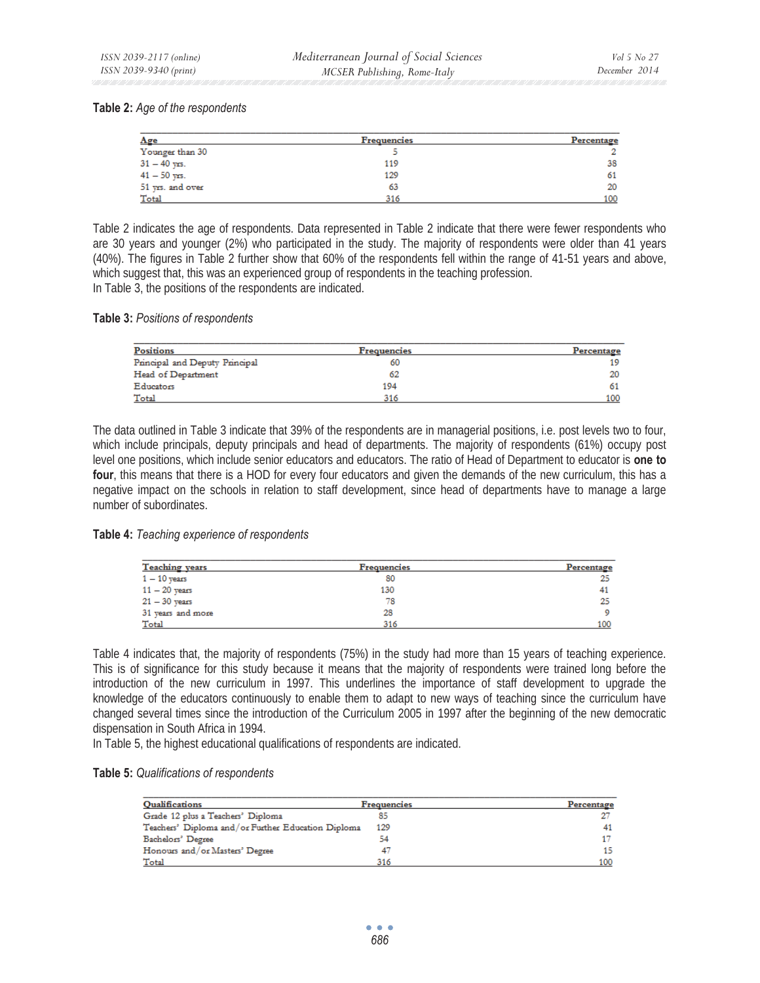#### **Table 2:** *Age of the respondents*

| Age              | <b>Frequencies</b> | Percentage |
|------------------|--------------------|------------|
| Younger than 30  |                    |            |
| $31 - 40$ yrs.   | 119                | 38         |
| $41 - 50$ yrs.   | 129                | 61         |
| 51 yrs. and over | 63                 | 20         |
| Total            | 316                | 100        |

Table 2 indicates the age of respondents. Data represented in Table 2 indicate that there were fewer respondents who are 30 years and younger (2%) who participated in the study. The majority of respondents were older than 41 years (40%). The figures in Table 2 further show that 60% of the respondents fell within the range of 41-51 years and above, which suggest that, this was an experienced group of respondents in the teaching profession. In Table 3, the positions of the respondents are indicated.

#### **Table 3:** *Positions of respondents*

| <b>Positions</b>               | <b>Frequencies</b> | Percentage |
|--------------------------------|--------------------|------------|
| Principal and Deputy Principal | 60                 | 19         |
| Head of Department             | 62                 | 20         |
| Educators                      | 194                | 61         |
| Total                          | 316                | 100        |

The data outlined in Table 3 indicate that 39% of the respondents are in managerial positions, i.e. post levels two to four, which include principals, deputy principals and head of departments. The majority of respondents (61%) occupy post level one positions, which include senior educators and educators. The ratio of Head of Department to educator is **one to four**, this means that there is a HOD for every four educators and given the demands of the new curriculum, this has a negative impact on the schools in relation to staff development, since head of departments have to manage a large number of subordinates.

#### **Table 4:** *Teaching experience of respondents*

| <b>Teaching</b> years | <b>Frequencies</b> | Percentage |
|-----------------------|--------------------|------------|
| $1 - 10$ years        | 80                 | 25         |
| $11 - 20$ years       | 130                | 41         |
| $21 - 30$ years       | 78                 | 25         |
| 31 years and more     | 28                 | 9          |
| Total                 | 316                | 100        |

Table 4 indicates that, the majority of respondents (75%) in the study had more than 15 years of teaching experience. This is of significance for this study because it means that the majority of respondents were trained long before the introduction of the new curriculum in 1997. This underlines the importance of staff development to upgrade the knowledge of the educators continuously to enable them to adapt to new ways of teaching since the curriculum have changed several times since the introduction of the Curriculum 2005 in 1997 after the beginning of the new democratic dispensation in South Africa in 1994.

In Table 5, the highest educational qualifications of respondents are indicated.

#### **Table 5:** *Qualifications of respondents*

| Qualifications                                     | <b>Frequencies</b> | Percentage |
|----------------------------------------------------|--------------------|------------|
| Grade 12 plus a Teachers' Diploma                  |                    |            |
| Teachers' Diploma and/or Further Education Diploma | 129                | 41         |
| Bachelors' Degree                                  | 54                 |            |
| Honours and/or Masters' Degree                     |                    | 15         |
| Total                                              | 316                | 100        |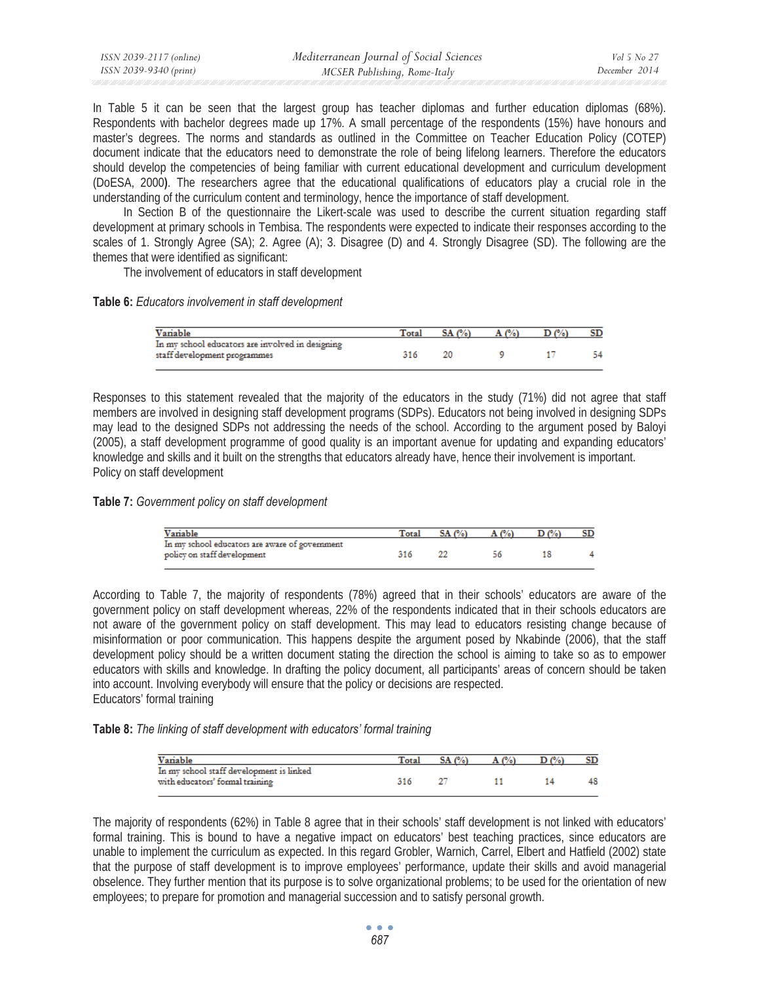| ISSN 2039-2117 (online) | Mediterranean Journal of Social Sciences | Vol 5 No 27   |
|-------------------------|------------------------------------------|---------------|
| ISSN 2039-9340 (print)  | MCSER Publishing, Rome-Italy             | December 2014 |

In Table 5 it can be seen that the largest group has teacher diplomas and further education diplomas (68%). Respondents with bachelor degrees made up 17%. A small percentage of the respondents (15%) have honours and master's degrees. The norms and standards as outlined in the Committee on Teacher Education Policy (COTEP) document indicate that the educators need to demonstrate the role of being lifelong learners. Therefore the educators should develop the competencies of being familiar with current educational development and curriculum development (DoESA, 2000**)**. The researchers agree that the educational qualifications of educators play a crucial role in the understanding of the curriculum content and terminology, hence the importance of staff development.

In Section B of the questionnaire the Likert-scale was used to describe the current situation regarding staff development at primary schools in Tembisa. The respondents were expected to indicate their responses according to the scales of 1. Strongly Agree (SA); 2. Agree (A); 3. Disagree (D) and 4. Strongly Disagree (SD). The following are the themes that were identified as significant:

The involvement of educators in staff development

### **Table 6:** *Educators involvement in staff development*

| Variable                                                                         | Total | SA (%) |  |  |
|----------------------------------------------------------------------------------|-------|--------|--|--|
| In my school educators are involved in designing<br>staff development programmes | 316   |        |  |  |

Responses to this statement revealed that the majority of the educators in the study (71%) did not agree that staff members are involved in designing staff development programs (SDPs). Educators not being involved in designing SDPs may lead to the designed SDPs not addressing the needs of the school. According to the argument posed by Baloyi (2005), a staff development programme of good quality is an important avenue for updating and expanding educators' knowledge and skills and it built on the strengths that educators already have, hence their involvement is important. Policy on staff development

# **Table 7:** *Government policy on staff development*

| Variable                                                                      | Total | SA (%) | $C\omega$ | SD |
|-------------------------------------------------------------------------------|-------|--------|-----------|----|
| In my school educators are aware of government<br>policy on staff development |       |        |           |    |

According to Table 7, the majority of respondents (78%) agreed that in their schools' educators are aware of the government policy on staff development whereas, 22% of the respondents indicated that in their schools educators are not aware of the government policy on staff development. This may lead to educators resisting change because of misinformation or poor communication. This happens despite the argument posed by Nkabinde (2006), that the staff development policy should be a written document stating the direction the school is aiming to take so as to empower educators with skills and knowledge. In drafting the policy document, all participants' areas of concern should be taken into account. Involving everybody will ensure that the policy or decisions are respected. Educators' formal training

# **Table 8:** *The linking of staff development with educators' formal training*

| Variable                                                                    | Total | SA(%) | C%) |    |
|-----------------------------------------------------------------------------|-------|-------|-----|----|
| In my school staff development is linked<br>with educators' formal training | 316   |       |     | 48 |

The majority of respondents (62%) in Table 8 agree that in their schools' staff development is not linked with educators' formal training. This is bound to have a negative impact on educators' best teaching practices, since educators are unable to implement the curriculum as expected. In this regard Grobler, Warnich, Carrel, Elbert and Hatfield (2002) state that the purpose of staff development is to improve employees' performance, update their skills and avoid managerial obselence. They further mention that its purpose is to solve organizational problems; to be used for the orientation of new employees; to prepare for promotion and managerial succession and to satisfy personal growth.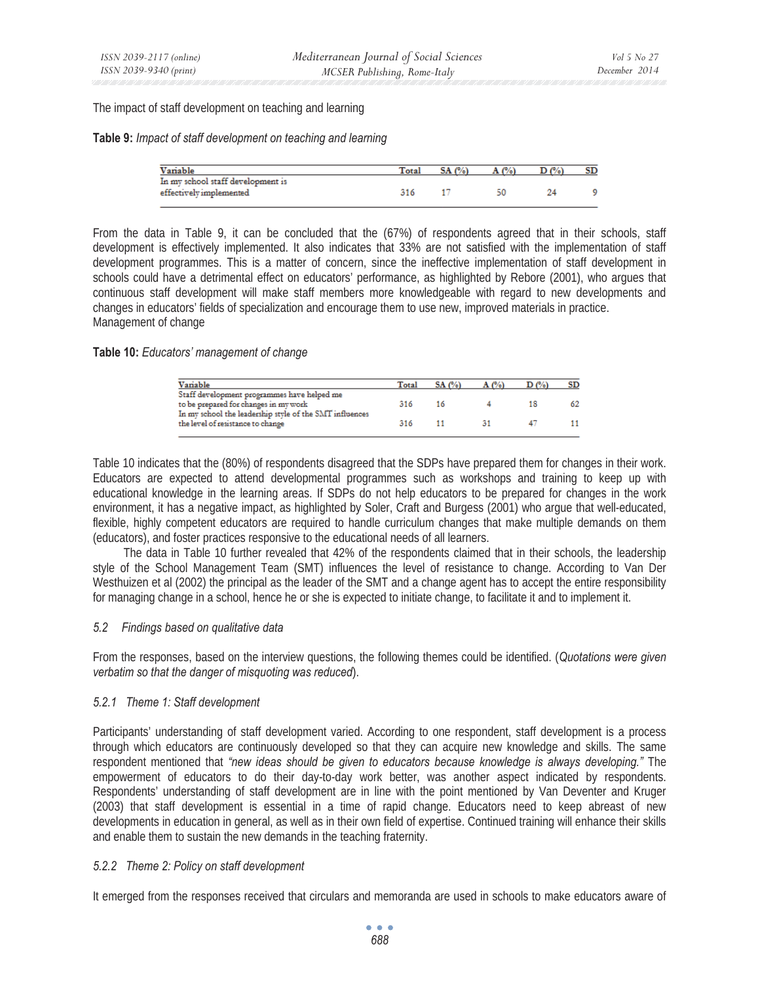The impact of staff development on teaching and learning

#### **Table 9:** *Impact of staff development on teaching and learning*

| Variable                                                     | Total | $\mathcal{C}$ |    |  |
|--------------------------------------------------------------|-------|---------------|----|--|
| In my school staff development is<br>effectively implemented | 316   |               | 50 |  |
|                                                              |       |               |    |  |

From the data in Table 9, it can be concluded that the (67%) of respondents agreed that in their schools, staff development is effectively implemented. It also indicates that 33% are not satisfied with the implementation of staff development programmes. This is a matter of concern, since the ineffective implementation of staff development in schools could have a detrimental effect on educators' performance, as highlighted by Rebore (2001), who argues that continuous staff development will make staff members more knowledgeable with regard to new developments and changes in educators' fields of specialization and encourage them to use new, improved materials in practice. Management of change

### **Table 10:** *Educators' management of change*

| Variable                                                | Total | SA(%) | A(%) |    | SD |
|---------------------------------------------------------|-------|-------|------|----|----|
| Staff development programmes have helped me             |       |       |      |    |    |
| to be prepared for changes in my work                   | 316   | 16    |      | 18 |    |
| In my school the leadership style of the SMT influences |       |       |      |    |    |
| the level of resistance to change                       | 316   |       | 31   |    |    |
|                                                         |       |       |      |    |    |

Table 10 indicates that the (80%) of respondents disagreed that the SDPs have prepared them for changes in their work. Educators are expected to attend developmental programmes such as workshops and training to keep up with educational knowledge in the learning areas. If SDPs do not help educators to be prepared for changes in the work environment, it has a negative impact, as highlighted by Soler, Craft and Burgess (2001) who argue that well-educated, flexible, highly competent educators are required to handle curriculum changes that make multiple demands on them (educators), and foster practices responsive to the educational needs of all learners.

The data in Table 10 further revealed that 42% of the respondents claimed that in their schools, the leadership style of the School Management Team (SMT) influences the level of resistance to change. According to Van Der Westhuizen et al (2002) the principal as the leader of the SMT and a change agent has to accept the entire responsibility for managing change in a school, hence he or she is expected to initiate change, to facilitate it and to implement it.

# *5.2 Findings based on qualitative data*

From the responses, based on the interview questions, the following themes could be identified. (*Quotations were given verbatim so that the danger of misquoting was reduced*).

# *5.2.1 Theme 1: Staff development*

Participants' understanding of staff development varied. According to one respondent, staff development is a process through which educators are continuously developed so that they can acquire new knowledge and skills. The same respondent mentioned that *"new ideas should be given to educators because knowledge is always developing."* The empowerment of educators to do their day-to-day work better, was another aspect indicated by respondents. Respondents' understanding of staff development are in line with the point mentioned by Van Deventer and Kruger (2003) that staff development is essential in a time of rapid change. Educators need to keep abreast of new developments in education in general, as well as in their own field of expertise. Continued training will enhance their skills and enable them to sustain the new demands in the teaching fraternity.

# *5.2.2 Theme 2: Policy on staff development*

It emerged from the responses received that circulars and memoranda are used in schools to make educators aware of

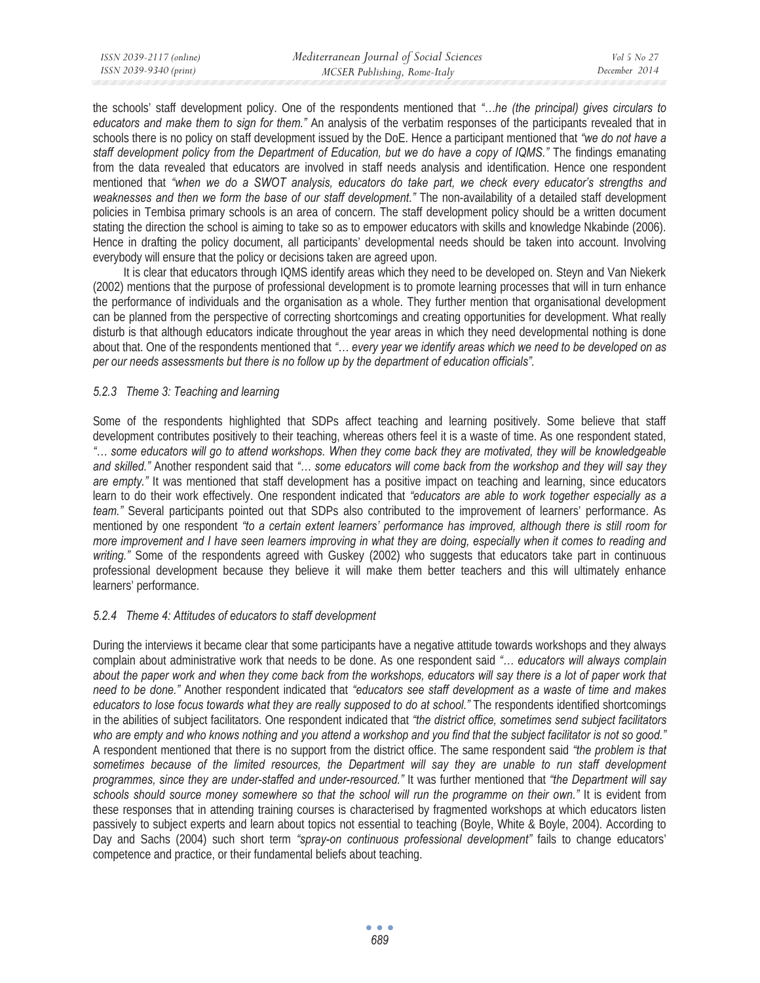| ISSN 2039-2117 (online) | Mediterranean Journal of Social Sciences | Vol 5 No 27   |
|-------------------------|------------------------------------------|---------------|
| ISSN 2039-9340 (print)  | MCSER Publishing, Rome-Italy             | December 2014 |
|                         |                                          |               |

the schools' staff development policy. One of the respondents mentioned that *"…he (the principal) gives circulars to educators and make them to sign for them."* An analysis of the verbatim responses of the participants revealed that in schools there is no policy on staff development issued by the DoE. Hence a participant mentioned that *"we do not have a staff development policy from the Department of Education, but we do have a copy of IQMS."* The findings emanating from the data revealed that educators are involved in staff needs analysis and identification. Hence one respondent mentioned that *"when we do a SWOT analysis, educators do take part, we check every educator's strengths and weaknesses and then we form the base of our staff development."* The non-availability of a detailed staff development policies in Tembisa primary schools is an area of concern. The staff development policy should be a written document stating the direction the school is aiming to take so as to empower educators with skills and knowledge Nkabinde (2006). Hence in drafting the policy document, all participants' developmental needs should be taken into account. Involving everybody will ensure that the policy or decisions taken are agreed upon.

It is clear that educators through IQMS identify areas which they need to be developed on. Steyn and Van Niekerk (2002) mentions that the purpose of professional development is to promote learning processes that will in turn enhance the performance of individuals and the organisation as a whole. They further mention that organisational development can be planned from the perspective of correcting shortcomings and creating opportunities for development. What really disturb is that although educators indicate throughout the year areas in which they need developmental nothing is done about that. One of the respondents mentioned that *"… every year we identify areas which we need to be developed on as per our needs assessments but there is no follow up by the department of education officials".* 

# *5.2.3 Theme 3: Teaching and learning*

Some of the respondents highlighted that SDPs affect teaching and learning positively. Some believe that staff development contributes positively to their teaching, whereas others feel it is a waste of time. As one respondent stated, *"… some educators will go to attend workshops. When they come back they are motivated, they will be knowledgeable and skilled."* Another respondent said that *"… some educators will come back from the workshop and they will say they are empty."* It was mentioned that staff development has a positive impact on teaching and learning, since educators learn to do their work effectively. One respondent indicated that *"educators are able to work together especially as a team."* Several participants pointed out that SDPs also contributed to the improvement of learners' performance. As mentioned by one respondent *"to a certain extent learners' performance has improved, although there is still room for more improvement and I have seen learners improving in what they are doing, especially when it comes to reading and writing."* Some of the respondents agreed with Guskey (2002) who suggests that educators take part in continuous professional development because they believe it will make them better teachers and this will ultimately enhance learners' performance.

# *5.2.4 Theme 4: Attitudes of educators to staff development*

During the interviews it became clear that some participants have a negative attitude towards workshops and they always complain about administrative work that needs to be done. As one respondent said *"… educators will always complain about the paper work and when they come back from the workshops, educators will say there is a lot of paper work that need to be done."* Another respondent indicated that *"educators see staff development as a waste of time and makes educators to lose focus towards what they are really supposed to do at school."* The respondents identified shortcomings in the abilities of subject facilitators. One respondent indicated that *"the district office, sometimes send subject facilitators who are empty and who knows nothing and you attend a workshop and you find that the subject facilitator is not so good."* A respondent mentioned that there is no support from the district office. The same respondent said *"the problem is that sometimes because of the limited resources, the Department will say they are unable to run staff development programmes, since they are under-staffed and under-resourced."* It was further mentioned that *"the Department will say schools should source money somewhere so that the school will run the programme on their own."* It is evident from these responses that in attending training courses is characterised by fragmented workshops at which educators listen passively to subject experts and learn about topics not essential to teaching (Boyle, White & Boyle, 2004). According to Day and Sachs (2004) such short term *"spray-on continuous professional development"* fails to change educators' competence and practice, or their fundamental beliefs about teaching.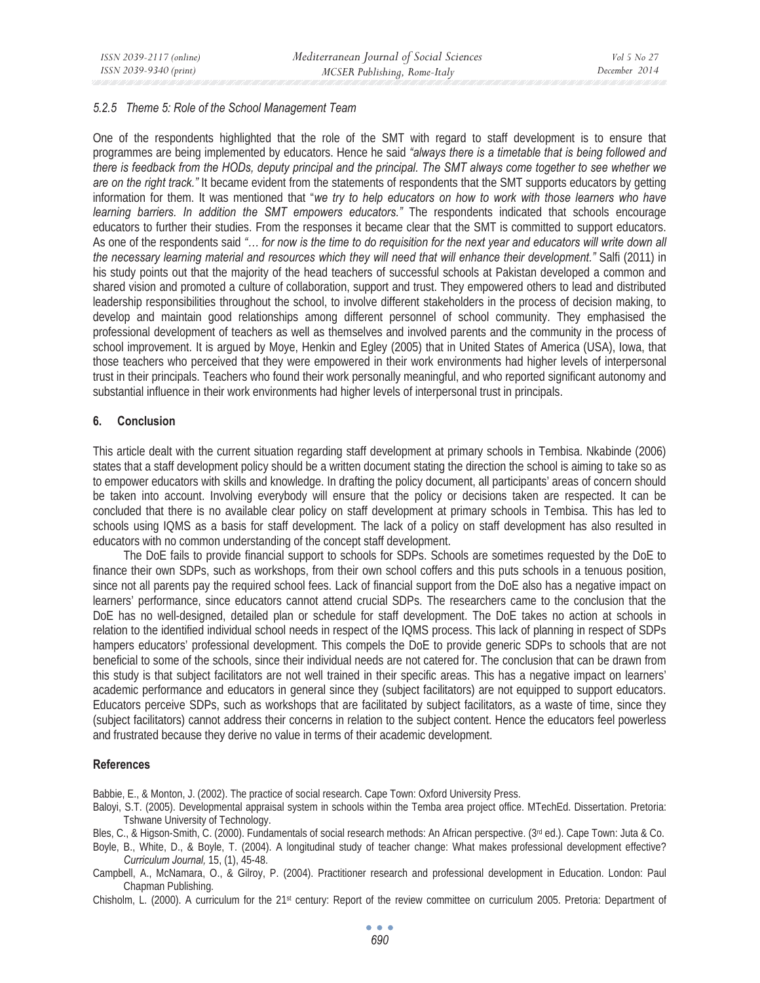# *5.2.5 Theme 5: Role of the School Management Team*

One of the respondents highlighted that the role of the SMT with regard to staff development is to ensure that programmes are being implemented by educators. Hence he said *"always there is a timetable that is being followed and there is feedback from the HODs, deputy principal and the principal. The SMT always come together to see whether we are on the right track."* It became evident from the statements of respondents that the SMT supports educators by getting information for them. It was mentioned that "*we try to help educators on how to work with those learners who have learning barriers. In addition the SMT empowers educators."* The respondents indicated that schools encourage educators to further their studies. From the responses it became clear that the SMT is committed to support educators. As one of the respondents said *"… for now is the time to do requisition for the next year and educators will write down all the necessary learning material and resources which they will need that will enhance their development."* Salfi (2011) in his study points out that the majority of the head teachers of successful schools at Pakistan developed a common and shared vision and promoted a culture of collaboration, support and trust. They empowered others to lead and distributed leadership responsibilities throughout the school, to involve different stakeholders in the process of decision making, to develop and maintain good relationships among different personnel of school community. They emphasised the professional development of teachers as well as themselves and involved parents and the community in the process of school improvement. It is argued by Moye, Henkin and Egley (2005) that in United States of America (USA), Iowa, that those teachers who perceived that they were empowered in their work environments had higher levels of interpersonal trust in their principals. Teachers who found their work personally meaningful, and who reported significant autonomy and substantial influence in their work environments had higher levels of interpersonal trust in principals.

# **6. Conclusion**

This article dealt with the current situation regarding staff development at primary schools in Tembisa. Nkabinde (2006) states that a staff development policy should be a written document stating the direction the school is aiming to take so as to empower educators with skills and knowledge. In drafting the policy document, all participants' areas of concern should be taken into account. Involving everybody will ensure that the policy or decisions taken are respected. It can be concluded that there is no available clear policy on staff development at primary schools in Tembisa. This has led to schools using IQMS as a basis for staff development. The lack of a policy on staff development has also resulted in educators with no common understanding of the concept staff development.

The DoE fails to provide financial support to schools for SDPs. Schools are sometimes requested by the DoE to finance their own SDPs, such as workshops, from their own school coffers and this puts schools in a tenuous position, since not all parents pay the required school fees. Lack of financial support from the DoE also has a negative impact on learners' performance, since educators cannot attend crucial SDPs. The researchers came to the conclusion that the DoE has no well-designed, detailed plan or schedule for staff development. The DoE takes no action at schools in relation to the identified individual school needs in respect of the IQMS process. This lack of planning in respect of SDPs hampers educators' professional development. This compels the DoE to provide generic SDPs to schools that are not beneficial to some of the schools, since their individual needs are not catered for. The conclusion that can be drawn from this study is that subject facilitators are not well trained in their specific areas. This has a negative impact on learners' academic performance and educators in general since they (subject facilitators) are not equipped to support educators. Educators perceive SDPs, such as workshops that are facilitated by subject facilitators, as a waste of time, since they (subject facilitators) cannot address their concerns in relation to the subject content. Hence the educators feel powerless and frustrated because they derive no value in terms of their academic development.

#### **References**

Babbie, E., & Monton, J. (2002). The practice of social research. Cape Town: Oxford University Press.

- Baloyi, S.T. (2005). Developmental appraisal system in schools within the Temba area project office. MTechEd. Dissertation. Pretoria: Tshwane University of Technology.
- Bles, C., & Higson-Smith, C. (2000). Fundamentals of social research methods: An African perspective. (3<sup>rd</sup> ed.). Cape Town: Juta & Co.
- Boyle, B., White, D., & Boyle, T. (2004). A longitudinal study of teacher change: What makes professional development effective? *Curriculum Journal,* 15, (1), 45-48.
- Campbell, A., McNamara, O., & Gilroy, P. (2004). Practitioner research and professional development in Education. London: Paul Chapman Publishing.
- Chisholm, L. (2000). A curriculum for the 21st century: Report of the review committee on curriculum 2005. Pretoria: Department of